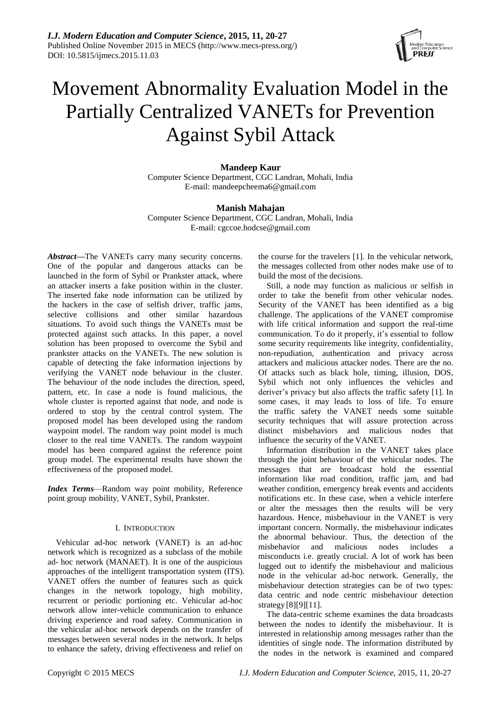

# Movement Abnormality Evaluation Model in the Partially Centralized VANETs for Prevention Against Sybil Attack

# **Mandeep Kaur**

Computer Science Department, CGC Landran, Mohali, India E-mail: mandeepcheema6@gmail.com

# **Manish Mahajan**

Computer Science Department, CGC Landran, Mohali, India E-mail: cgccoe.hodcse@gmail.com

*Abstract***—**The VANETs carry many security concerns. One of the popular and dangerous attacks can be launched in the form of Sybil or Prankster attack, where an attacker inserts a fake position within in the cluster. The inserted fake node information can be utilized by the hackers in the case of selfish driver, traffic jams, selective collisions and other similar hazardous situations. To avoid such things the VANETs must be protected against such attacks. In this paper, a novel solution has been proposed to overcome the Sybil and prankster attacks on the VANETs. The new solution is capable of detecting the fake information injections by verifying the VANET node behaviour in the cluster. The behaviour of the node includes the direction, speed, pattern, etc. In case a node is found malicious, the whole cluster is reported against that node, and node is ordered to stop by the central control system. The proposed model has been developed using the random waypoint model. The random way point model is much closer to the real time VANETs. The random waypoint model has been compared against the reference point group model. The experimental results have shown the effectiveness of the proposed model.

*Index Terms*—Random way point mobility, Reference point group mobility, VANET, Sybil, Prankster.

# I. INTRODUCTION

Vehicular ad-hoc network (VANET) is an ad-hoc network which is recognized as a subclass of the mobile ad- hoc network (MANAET). It is one of the auspicious approaches of the intelligent transportation system (ITS). VANET offers the number of features such as quick changes in the network topology, high mobility, recurrent or periodic portioning etc. Vehicular ad-hoc network allow inter-vehicle communication to enhance driving experience and road safety. Communication in the vehicular ad-hoc network depends on the transfer of messages between several nodes in the network. It helps to enhance the safety, driving effectiveness and relief on

the course for the travelers [1]. In the vehicular network, the messages collected from other nodes make use of to build the most of the decisions.

Still, a node may function as malicious or selfish in order to take the benefit from other vehicular nodes. Security of the VANET has been identified as a big challenge. The applications of the VANET compromise with life critical information and support the real-time communication. To do it properly, it's essential to follow some security requirements like integrity, confidentiality, non-repudiation, authentication and privacy across attackers and malicious attacker nodes. There are the no. Of attacks such as black hole, timing, illusion, DOS, Sybil which not only influences the vehicles and deriver's privacy but also affects the traffic safety [1]. In some cases, it may leads to loss of life. To ensure the traffic safety the VANET needs some suitable security techniques that will assure protection across distinct misbehaviors and malicious nodes that influence the security of the VANET.

Information distribution in the VANET takes place through the joint behaviour of the vehicular nodes. The messages that are broadcast hold the essential information like road condition, traffic jam, and bad weather condition, emergency break events and accidents notifications etc. In these case, when a vehicle interfere or alter the messages then the results will be very hazardous. Hence, misbehaviour in the VANET is very important concern. Normally, the misbehaviour indicates the abnormal behaviour. Thus, the detection of the misbehavior and malicious nodes includes a misconducts i.e. greatly crucial. A lot of work has been lugged out to identify the misbehaviour and malicious node in the vehicular ad-hoc network. Generally, the misbehaviour detection strategies can be of two types: data centric and node centric misbehaviour detection strategy [8][9][11].

The data-centric scheme examines the data broadcasts between the nodes to identify the misbehaviour. It is interested in relationship among messages rather than the identities of single node. The information distributed by the nodes in the network is examined and compared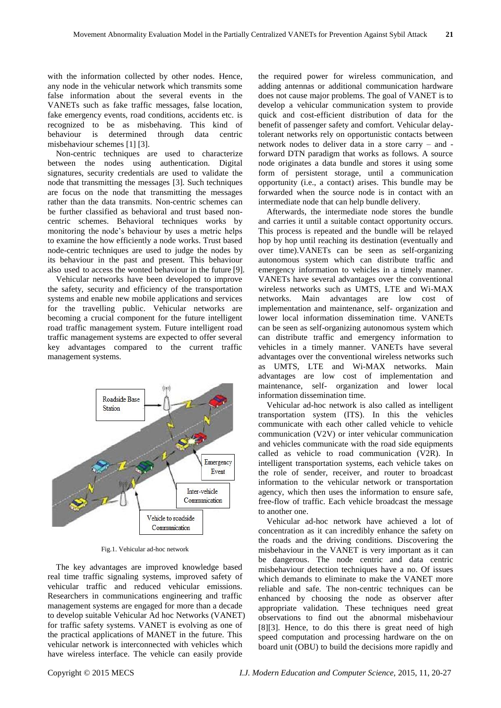with the information collected by other nodes. Hence, any node in the vehicular network which transmits some false information about the several events in the VANETs such as fake traffic messages, false location, fake emergency events, road conditions, accidents etc. is recognized to be as misbehaving. This kind of behaviour is determined through data centric misbehaviour schemes [1] [3].

Non-centric techniques are used to characterize between the nodes using authentication. Digital signatures, security credentials are used to validate the node that transmitting the messages [3]. Such techniques are focus on the node that transmitting the messages rather than the data transmits. Non-centric schemes can be further classified as behavioral and trust based noncentric schemes. Behavioral techniques works by monitoring the node's behaviour by uses a metric helps to examine the how efficiently a node works. Trust based node-centric techniques are used to judge the nodes by its behaviour in the past and present. This behaviour also used to access the wonted behaviour in the future [9].

Vehicular networks have been developed to improve the safety, security and efficiency of the transportation systems and enable new mobile applications and services for the travelling public. Vehicular networks are becoming a crucial component for the future intelligent road traffic management system. Future intelligent road traffic management systems are expected to offer several key advantages compared to the current traffic management systems.



Fig.1. Vehicular ad-hoc network

The key advantages are improved knowledge based real time traffic signaling systems, improved safety of vehicular traffic and reduced vehicular emissions. Researchers in communications engineering and traffic management systems are engaged for more than a decade to develop suitable Vehicular Ad hoc Networks (VANET) for traffic safety systems. VANET is evolving as one of the practical applications of MANET in the future. This vehicular network is interconnected with vehicles which have wireless interface. The vehicle can easily provide

the required power for wireless communication, and adding antennas or additional communication hardware does not cause major problems. The goal of VANET is to develop a vehicular communication system to provide quick and cost-efficient distribution of data for the benefit of passenger safety and comfort. Vehicular delaytolerant networks rely on opportunistic contacts between network nodes to deliver data in a store carry – and forward DTN paradigm that works as follows. A source node originates a data bundle and stores it using some form of persistent storage, until a communication opportunity (i.e., a contact) arises. This bundle may be forwarded when the source node is in contact with an intermediate node that can help bundle delivery.

Afterwards, the intermediate node stores the bundle and carries it until a suitable contact opportunity occurs. This process is repeated and the bundle will be relayed hop by hop until reaching its destination (eventually and over time).VANETs can be seen as self-organizing autonomous system which can distribute traffic and emergency information to vehicles in a timely manner. VANETs have several advantages over the conventional wireless networks such as UMTS, LTE and Wi-MAX networks. Main advantages are low cost of implementation and maintenance, self- organization and lower local information dissemination time. VANETs can be seen as self-organizing autonomous system which can distribute traffic and emergency information to vehicles in a timely manner. VANETs have several advantages over the conventional wireless networks such as UMTS, LTE and Wi-MAX networks. Main advantages are low cost of implementation and maintenance, self- organization and lower local information dissemination time.

Vehicular ad-hoc network is also called as intelligent transportation system (ITS). In this the vehicles communicate with each other called vehicle to vehicle communication (V2V) or inter vehicular communication and vehicles communicate with the road side equipments called as vehicle to road communication (V2R). In intelligent transportation systems, each vehicle takes on the role of sender, receiver, and router to broadcast information to the vehicular network or transportation agency, which then uses the information to ensure safe, free-flow of traffic. Each vehicle broadcast the message to another one.

Vehicular ad-hoc network have achieved a lot of concentration as it can incredibly enhance the safety on the roads and the driving conditions. Discovering the misbehaviour in the VANET is very important as it can be dangerous. The node centric and data centric misbehaviour detection techniques have a no. Of issues which demands to eliminate to make the VANET more reliable and safe. The non-centric techniques can be enhanced by choosing the node as observer after appropriate validation. These techniques need great observations to find out the abnormal misbehaviour [8][3]. Hence, to do this there is great need of high speed computation and processing hardware on the on board unit (OBU) to build the decisions more rapidly and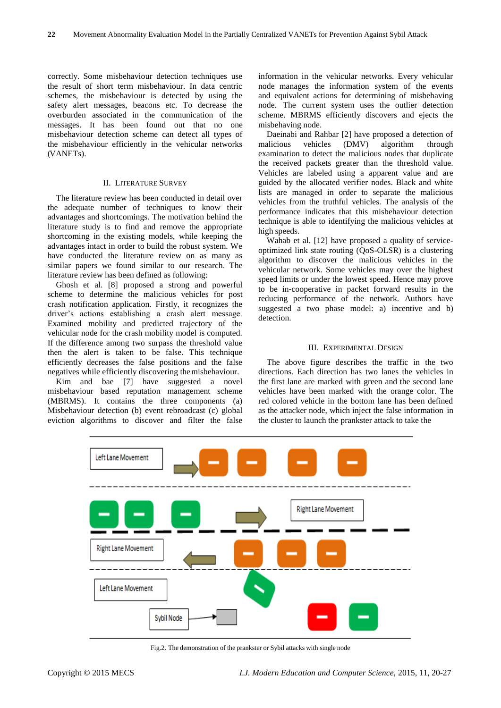correctly. Some misbehaviour detection techniques use the result of short term misbehaviour. In data centric schemes, the misbehaviour is detected by using the safety alert messages, beacons etc. To decrease the overburden associated in the communication of the messages. It has been found out that no one misbehaviour detection scheme can detect all types of the misbehaviour efficiently in the vehicular networks (VANETs).

#### II. LITERATURE SURVEY

The literature review has been conducted in detail over the adequate number of techniques to know their advantages and shortcomings. The motivation behind the literature study is to find and remove the appropriate shortcoming in the existing models, while keeping the advantages intact in order to build the robust system. We have conducted the literature review on as many as similar papers we found similar to our research. The literature review has been defined as following:

Ghosh et al. [8] proposed a strong and powerful scheme to determine the malicious vehicles for post crash notification application. Firstly, it recognizes the driver's actions establishing a crash alert message. Examined mobility and predicted trajectory of the vehicular node for the crash mobility model is computed. If the difference among two surpass the threshold value then the alert is taken to be false. This technique efficiently decreases the false positions and the false negatives while efficiently discovering themisbehaviour.

Kim and bae [7] have suggested a novel misbehaviour based reputation management scheme (MBRMS). It contains the three components (a) Misbehaviour detection (b) event rebroadcast (c) global eviction algorithms to discover and filter the false

information in the vehicular networks. Every vehicular node manages the information system of the events and equivalent actions for determining of misbehaving node. The current system uses the outlier detection scheme. MBRMS efficiently discovers and ejects the misbehaving node.

Daeinabi and Rahbar [2] have proposed a detection of<br>alicious vehicles (DMV) algorithm through malicious vehicles (DMV) algorithm through examination to detect the malicious nodes that duplicate the received packets greater than the threshold value. Vehicles are labeled using a apparent value and are guided by the allocated verifier nodes. Black and white lists are managed in order to separate the malicious vehicles from the truthful vehicles. The analysis of the performance indicates that this misbehaviour detection technique is able to identifying the malicious vehicles at high speeds.

Wahab et al. [12] have proposed a quality of serviceoptimized link state routing (QoS-OLSR) is a clustering algorithm to discover the malicious vehicles in the vehicular network. Some vehicles may over the highest speed limits or under the lowest speed. Hence may prove to be in-cooperative in packet forward results in the reducing performance of the network. Authors have suggested a two phase model: a) incentive and b) detection.

#### III. EXPERIMENTAL DESIGN

The above figure describes the traffic in the two directions. Each direction has two lanes the vehicles in the first lane are marked with green and the second lane vehicles have been marked with the orange color. The red colored vehicle in the bottom lane has been defined as the attacker node, which inject the false information in the cluster to launch the prankster attack to take the



Fig.2. The demonstration of the prankster or Sybil attacks with single node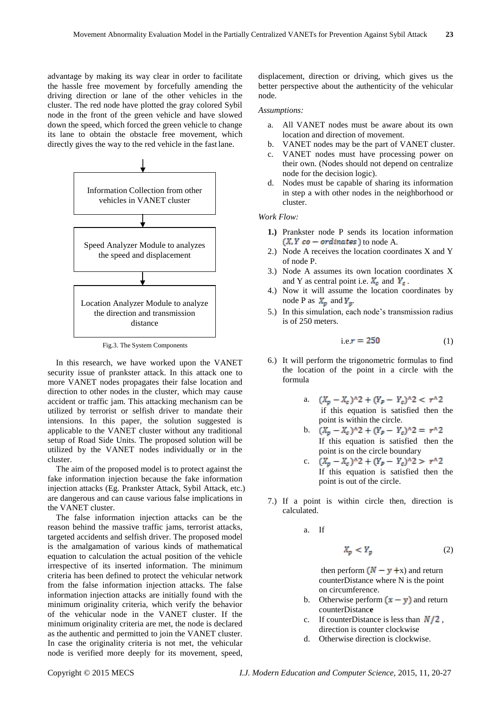advantage by making its way clear in order to facilitate the hassle free movement by forcefully amending the driving direction or lane of the other vehicles in the cluster. The red node have plotted the gray colored Sybil node in the front of the green vehicle and have slowed down the speed, which forced the green vehicle to change its lane to obtain the obstacle free movement, which directly gives the way to the red vehicle in the fast lane.



Fig.3. The System Components

In this research, we have worked upon the VANET security issue of prankster attack. In this attack one to more VANET nodes propagates their false location and direction to other nodes in the cluster, which may cause accident or traffic jam. This attacking mechanism can be utilized by terrorist or selfish driver to mandate their intensions. In this paper, the solution suggested is applicable to the VANET cluster without any traditional setup of Road Side Units. The proposed solution will be utilized by the VANET nodes individually or in the cluster.

The aim of the proposed model is to protect against the fake information injection because the fake information injection attacks (Eg. Prankster Attack, Sybil Attack, etc.) are dangerous and can cause various false implications in the VANET cluster.

The false information injection attacks can be the reason behind the massive traffic jams, terrorist attacks, targeted accidents and selfish driver. The proposed model is the amalgamation of various kinds of mathematical equation to calculation the actual position of the vehicle irrespective of its inserted information. The minimum criteria has been defined to protect the vehicular network from the false information injection attacks. The false information injection attacks are initially found with the minimum originality criteria, which verify the behavior of the vehicular node in the VANET cluster. If the minimum originality criteria are met, the node is declared as the authentic and permitted to join the VANET cluster. In case the originality criteria is not met, the vehicular node is verified more deeply for its movement, speed,

displacement, direction or driving, which gives us the better perspective about the authenticity of the vehicular node.

#### *Assumptions:*

- a. All VANET nodes must be aware about its own location and direction of movement.
- b. VANET nodes may be the part of VANET cluster.
- c. VANET nodes must have processing power on their own. (Nodes should not depend on centralize node for the decision logic).
- d. Nodes must be capable of sharing its information in step a with other nodes in the neighborhood or cluster.

*Work Flow:*

- **1.)** Prankster node P sends its location information  $(X, Y, co-ordinates)$  to node A.
- 2.) Node A receives the location coordinates X and Y of node P.
- 3.) Node A assumes its own location coordinates X and Y as central point i.e.  $X_c$  and  $Y_c$ .
- 4.) Now it will assume the location coordinates by node P as  $X_p$  and  $Y_p$ .
- 5.) In this simulation, each node's transmission radius is of 250 meters.

$$
i.e. r = 250 \tag{1}
$$

- 6.) It will perform the trigonometric formulas to find the location of the point in a circle with the formula
	- a. if this equation is satisfied then the point is within the circle.
	- b.  $(X_p X_c)^2 + (Y_p Y_c)^2 = r^2$ If this equation is satisfied then the point is on the circle boundary
	- c.  $(X_p X_c)^{2} + (Y_p Y_c)^{2} > r^{2}$ If this equation is satisfied then the point is out of the circle.
- 7.) If a point is within circle then, direction is calculated.

a. If

$$
X_p < Y_p \tag{2}
$$

then perform  $(N - y + x)$  and return counterDistance where N is the point on circumference.

- b. Otherwise perform  $(x y)$  and return counterDistanc**e**
- c. If counterDistance is less than  $N/2$ , direction is counter clockwise
- d. Otherwise direction is clockwise.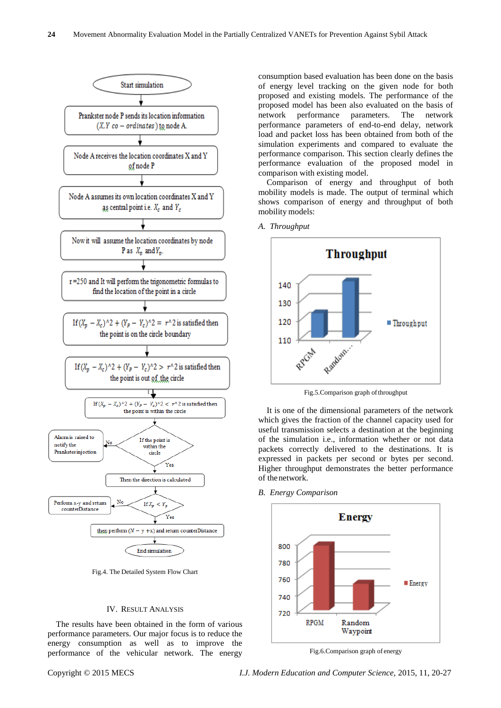

Fig.4. The Detailed System Flow Chart

#### IV. RESULT ANALYSIS

The results have been obtained in the form of various performance parameters. Our major focus is to reduce the energy consumption as well as to improve the performance of the vehicular network. The energy

consumption based evaluation has been done on the basis of energy level tracking on the given node for both proposed and existing models. The performance of the proposed model has been also evaluated on the basis of network performance parameters. The network performance parameters of end-to-end delay, network load and packet loss has been obtained from both of the simulation experiments and compared to evaluate the performance comparison. This section clearly defines the performance evaluation of the proposed model in comparison with existing model.

Comparison of energy and throughput of both mobility models is made. The output of terminal which shows comparison of energy and throughput of both mobility models:



Fig.5.Comparison graph ofthroughput

It is one of the dimensional parameters of the network which gives the fraction of the channel capacity used for useful transmission selects a destination at the beginning of the simulation i.e., information whether or not data packets correctly delivered to the destinations. It is expressed in packets per second or bytes per second. Higher throughput demonstrates the better performance of thenetwork.

#### *B. Energy Comparison*

*A. Throughput*



Fig.6.Comparison graph of energy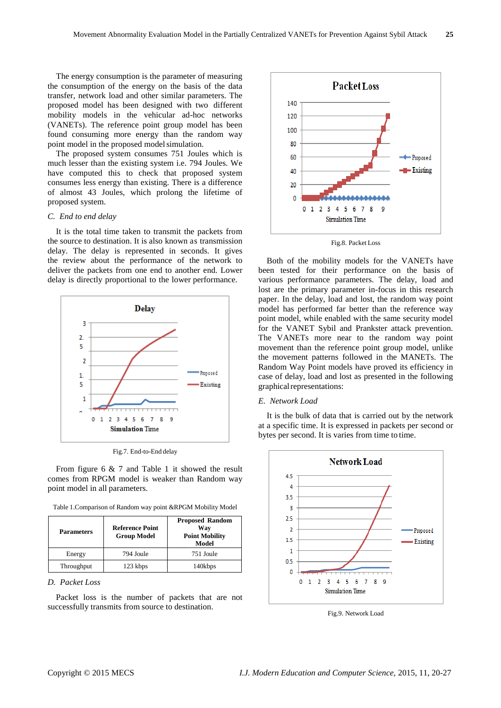The energy consumption is the parameter of measuring the consumption of the energy on the basis of the data transfer, network load and other similar parameters. The proposed model has been designed with two different mobility models in the vehicular ad-hoc networks (VANETs). The reference point group model has been found consuming more energy than the random way point model in the proposed model simulation.

The proposed system consumes 751 Joules which is much lesser than the existing system i.e. 794 Joules. We have computed this to check that proposed system consumes less energy than existing. There is a difference of almost 43 Joules, which prolong the lifetime of proposed system.

### *C. End to end delay*

It is the total time taken to transmit the packets from the source to destination. It is also known as transmission delay. The delay is represented in seconds. It gives the review about the performance of the network to deliver the packets from one end to another end. Lower delay is directly proportional to the lower performance.



Fig.7. End-to-End delay

From figure 6 & 7 and Table 1 it showed the result comes from RPGM model is weaker than Random way point model in all parameters.

| Table 1. Comparison of Random way point & RPGM Mobility Model |  |  |  |
|---------------------------------------------------------------|--|--|--|
|                                                               |  |  |  |

| <b>Parameters</b> | <b>Reference Point</b><br><b>Group Model</b> | <b>Proposed Random</b><br>Way<br><b>Point Mobility</b><br>Model |  |
|-------------------|----------------------------------------------|-----------------------------------------------------------------|--|
| Energy            | 794 Joule                                    | 751 Joule                                                       |  |
| Throughput        | 123 kbps                                     | 140kbps                                                         |  |

#### *D. Packet Loss*

Packet loss is the number of packets that are not successfully transmits from source to destination.





Both of the mobility models for the VANETs have been tested for their performance on the basis of various performance parameters. The delay, load and lost are the primary parameter in-focus in this research paper. In the delay, load and lost, the random way point model has performed far better than the reference way point model, while enabled with the same security model for the VANET Sybil and Prankster attack prevention. The VANETs more near to the random way point movement than the reference point group model, unlike the movement patterns followed in the MANETs. The Random Way Point models have proved its efficiency in case of delay, load and lost as presented in the following graphical representations:

## *E. Network Load*

It is the bulk of data that is carried out by the network at a specific time. It is expressed in packets per second or bytes per second. It is varies from time to time.



Fig.9. Network Load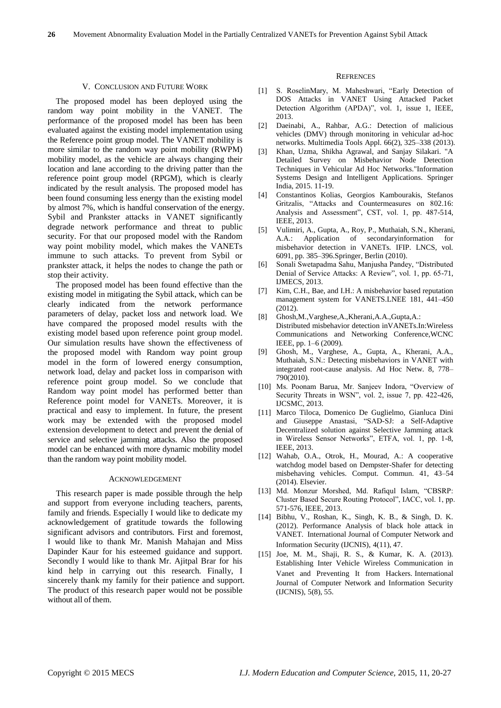#### V. CONCLUSION AND FUTURE WORK

The proposed model has been deployed using the random way point mobility in the VANET. The performance of the proposed model has been has been evaluated against the existing model implementation using the Reference point group model. The VANET mobility is more similar to the random way point mobility (RWPM) mobility model, as the vehicle are always changing their location and lane according to the driving patter than the reference point group model (RPGM), which is clearly indicated by the result analysis. The proposed model has been found consuming less energy than the existing model by almost 7%, which is handful conservation of the energy. Sybil and Prankster attacks in VANET significantly degrade network performance and threat to public security. For that our proposed model with the Random way point mobility model, which makes the VANETs immune to such attacks. To prevent from Sybil or prankster attack, it helps the nodes to change the path or stop their activity.

The proposed model has been found effective than the existing model in mitigating the Sybil attack, which can be clearly indicated from the network performance parameters of delay, packet loss and network load. We have compared the proposed model results with the existing model based upon reference point group model. Our simulation results have shown the effectiveness of the proposed model with Random way point group model in the form of lowered energy consumption, network load, delay and packet loss in comparison with reference point group model. So we conclude that Random way point model has performed better than Reference point model for VANETs. Moreover, it is practical and easy to implement. In future, the present work may be extended with the proposed model extension development to detect and prevent the denial of service and selective jamming attacks. Also the proposed model can be enhanced with more dynamic mobility model than the random way point mobility model.

#### ACKNOWLEDGEMENT

This research paper is made possible through the help and support from everyone including teachers, parents, family and friends. Especially I would like to dedicate my acknowledgement of gratitude towards the following significant advisors and contributors. First and foremost, I would like to thank Mr. Manish Mahajan and Miss Dapinder Kaur for his esteemed guidance and support. Secondly I would like to thank Mr. Ajitpal Brar for his kind help in carrying out this research. Finally, I sincerely thank my family for their patience and support. The product of this research paper would not be possible without all of them.

#### **REFRENCES**

- [1] S. RoselinMary, M. Maheshwari, "Early Detection of DOS Attacks in VANET Using Attacked Packet Detection Algorithm (APDA)", vol. 1, issue 1, IEEE, 2013.
- [2] Daeinabi, A., Rahbar, A.G.: Detection of malicious vehicles (DMV) through monitoring in vehicular ad-hoc networks. Multimedia Tools Appl. 66(2), 325–338 (2013).
- [3] Khan, Uzma, Shikha Agrawal, and Sanjay Silakari. "A Detailed Survey on Misbehavior Node Detection Techniques in Vehicular Ad Hoc Networks."Information Systems Design and Intelligent Applications. Springer India, 2015. 11-19.
- [4] Constantinos Kolias, Georgios Kambourakis, Stefanos Gritzalis, "Attacks and Countermeasures on 802.16: Analysis and Assessment", CST, vol. 1, pp. 487-514, IEEE, 2013.
- [5] Vulimiri, A., Gupta, A., Roy, P., Muthaiah, S.N., Kherani, A.A.: Application of secondaryinformation for misbehavior detection in VANETs. IFIP. LNCS, vol. 6091, pp. 385–396.Springer, Berlin (2010).
- [6] Sonali Swetapadma Sahu, Manjusha Pandey, "Distributed Denial of Service Attacks: A Review", vol. 1, pp. 65-71, IJMECS, 2013.
- [7] Kim, C.H., Bae, and I.H.: A misbehavior based reputation management system for VANETS.LNEE 181, 441–450 (2012).
- [8] Ghosh,M.,Varghese,A.,Kherani,A.A.,Gupta,A.: Distributed misbehavior detection inVANETs.In:Wireless Communications and Networking Conference,WCNC IEEE, pp. 1–6 (2009).
- [9] Ghosh, M., Varghese, A., Gupta, A., Kherani, A.A., Muthaiah, S.N.: Detecting misbehaviors in VANET with integrated root-cause analysis. Ad Hoc Netw. 8, 778– 790(2010).
- [10] Ms. Poonam Barua, Mr. Sanjeev Indora, "Overview of Security Threats in WSN", vol. 2, issue 7, pp. 422-426, IJCSMC, 2013.
- [11] Marco Tiloca, Domenico De Guglielmo, Gianluca Dini and Giuseppe Anastasi, "SAD-SJ: a Self-Adaptive Decentralized solution against Selective Jamming attack in Wireless Sensor Networks", ETFA, vol. 1, pp. 1-8, IEEE, 2013.
- [12] Wahab, O.A., Otrok, H., Mourad, A.: A cooperative watchdog model based on Dempster-Shafer for detecting misbehaving vehicles. Comput. Commun. 41, 43–54 (2014). Elsevier.
- [13] Md. Monzur Morshed, Md. Rafiqul Islam, "CBSRP: Cluster Based Secure Routing Protocol", IACC, vol. 1, pp. 571-576, IEEE, 2013.
- [14] Bibhu, V., Roshan, K., Singh, K. B., & Singh, D. K. (2012). Performance Analysis of black hole attack in VANET. International Journal of Computer Network and Information Security (IJCNIS), 4(11), 47.
- [15] Joe, M. M., Shaji, R. S., & Kumar, K. A. (2013). Establishing Inter Vehicle Wireless Communication in Vanet and Preventing It from Hackers. International Journal of Computer Network and Information Security (IJCNIS), 5(8), 55.